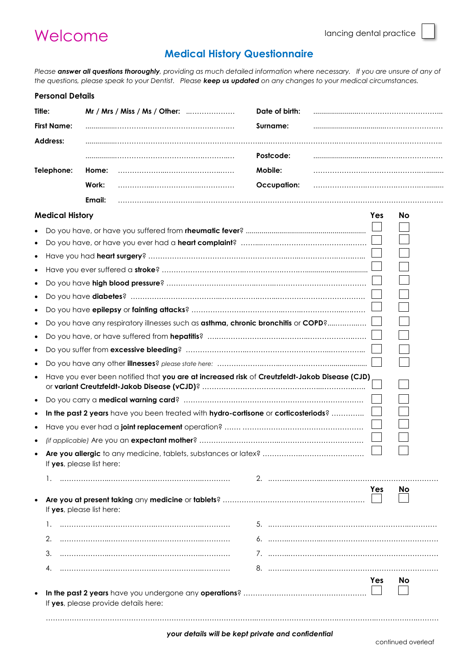## Welcome

## **Medical History Questionnaire**

*Please answer all questions thoroughly, providing as much detailed information where necessary. If you are unsure of any of the questions, please speak to your Dentist. Please keep us updated on any changes to your medical circumstances.*

| <b>Personal Details</b> |                                                                                               |                    |     |           |
|-------------------------|-----------------------------------------------------------------------------------------------|--------------------|-----|-----------|
| Title:                  | Mr / Mrs / Miss / Ms / Other:                                                                 | Date of birth:     |     |           |
| <b>First Name:</b>      |                                                                                               | Surname:           |     |           |
| Address:                |                                                                                               |                    |     |           |
|                         |                                                                                               | Postcode:          |     |           |
| Telephone:              | Home:                                                                                         | Mobile:            |     |           |
|                         | Work:                                                                                         | <b>Occupation:</b> |     |           |
|                         | Email:                                                                                        |                    |     |           |
| <b>Medical History</b>  |                                                                                               |                    | Yes | <b>No</b> |
|                         |                                                                                               |                    |     |           |
|                         |                                                                                               |                    |     |           |
|                         |                                                                                               |                    |     |           |
|                         |                                                                                               |                    |     |           |
|                         |                                                                                               |                    |     |           |
| $\bullet$               |                                                                                               |                    |     |           |
|                         |                                                                                               |                    |     |           |
|                         | Do you have any respiratory illnesses such as asthma, chronic bronchitis or COPD?             |                    |     |           |
|                         |                                                                                               |                    |     |           |
| $\bullet$               |                                                                                               |                    |     |           |
|                         |                                                                                               |                    |     |           |
| $\bullet$               | Have you ever been notified that you are at increased risk of Creutzfeldt-Jakob Disease (CJD) |                    |     |           |
| $\bullet$               |                                                                                               |                    |     |           |
|                         | In the past 2 years have you been treated with hydro-cortisone or corticosteriods?            |                    |     |           |
|                         |                                                                                               |                    |     |           |
|                         |                                                                                               |                    |     |           |
|                         | If yes, please list here:                                                                     |                    |     |           |
|                         |                                                                                               |                    |     |           |
|                         | If yes, please list here:                                                                     |                    | Yes | <b>No</b> |
|                         |                                                                                               |                    |     |           |
| 2.                      |                                                                                               |                    |     |           |
| 3.                      |                                                                                               |                    |     |           |
|                         |                                                                                               |                    |     |           |
|                         |                                                                                               |                    | Yes | <b>No</b> |
|                         |                                                                                               |                    |     |           |
|                         | If yes, please provide details here:                                                          |                    |     |           |